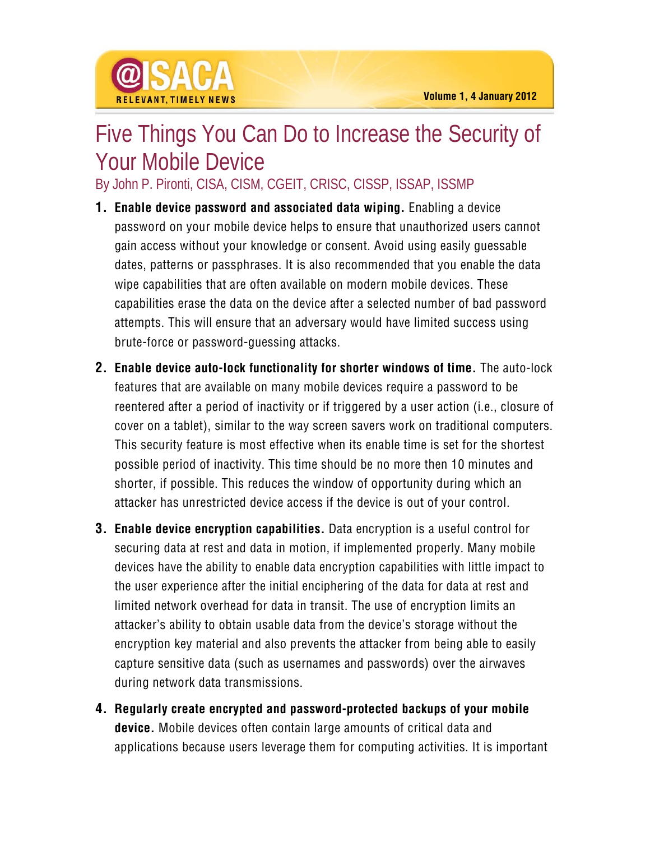## Five Things You Can Do to Increase the Security of Your Mobile Device

By John P. Pironti, CISA, CISM, CGEIT, CRISC, CISSP, ISSAP, ISSMP

- **1. Enable device password and associated data wiping.** Enabling a device password on your mobile device helps to ensure that unauthorized users cannot gain access without your knowledge or consent. Avoid using easily guessable dates, patterns or passphrases. It is also recommended that you enable the data wipe capabilities that are often available on modern mobile devices. These capabilities erase the data on the device after a selected number of bad password attempts. This will ensure that an adversary would have limited success using brute-force or password-guessing attacks.
- **2. Enable device auto-lock functionality for shorter windows of time.** The auto-lock features that are available on many mobile devices require a password to be reentered after a period of inactivity or if triggered by a user action (i.e., closure of cover on a tablet), similar to the way screen savers work on traditional computers. This security feature is most effective when its enable time is set for the shortest possible period of inactivity. This time should be no more then 10 minutes and shorter, if possible. This reduces the window of opportunity during which an attacker has unrestricted device access if the device is out of your control.
- **3. Enable device encryption capabilities.** Data encryption is a useful control for securing data at rest and data in motion, if implemented properly. Many mobile devices have the ability to enable data encryption capabilities with little impact to the user experience after the initial enciphering of the data for data at rest and limited network overhead for data in transit. The use of encryption limits an attacker's ability to obtain usable data from the device's storage without the encryption key material and also prevents the attacker from being able to easily capture sensitive data (such as usernames and passwords) over the airwaves during network data transmissions.
- **4. Regularly create encrypted and password-protected backups of your mobile device.** Mobile devices often contain large amounts of critical data and applications because users leverage them for computing activities. It is important